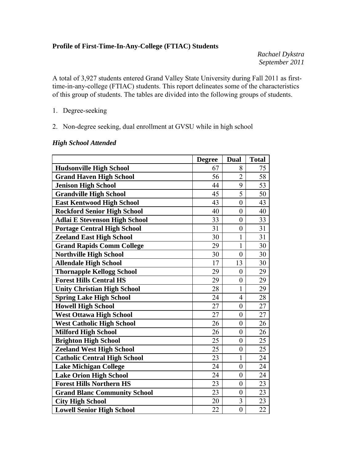#### **Profile of First-Time-In-Any-College (FTIAC) Students**

*Rachael Dykstra September 2011* 

A total of 3,927 students entered Grand Valley State University during Fall 2011 as firsttime-in-any-college (FTIAC) students. This report delineates some of the characteristics of this group of students. The tables are divided into the following groups of students.

- 1. Degree-seeking
- 2. Non-degree seeking, dual enrollment at GVSU while in high school

#### *High School Attended*

|                                      | <b>Degree</b> | Dual             | <b>Total</b> |
|--------------------------------------|---------------|------------------|--------------|
| <b>Hudsonville High School</b>       | 67            | 8                | 75           |
| <b>Grand Haven High School</b>       | 56            | $\overline{2}$   | 58           |
| <b>Jenison High School</b>           | 44            | 9                | 53           |
| <b>Grandville High School</b>        | 45            | 5                | 50           |
| <b>East Kentwood High School</b>     | 43            | $\mathbf{0}$     | 43           |
| <b>Rockford Senior High School</b>   | 40            | $\overline{0}$   | 40           |
| <b>Adlai E Stevenson High School</b> | 33            | $\boldsymbol{0}$ | 33           |
| <b>Portage Central High School</b>   | 31            | $\overline{0}$   | 31           |
| <b>Zeeland East High School</b>      | 30            | $\mathbf{1}$     | 31           |
| <b>Grand Rapids Comm College</b>     | 29            | $\mathbf{1}$     | 30           |
| <b>Northville High School</b>        | 30            | $\overline{0}$   | 30           |
| <b>Allendale High School</b>         | 17            | 13               | 30           |
| <b>Thornapple Kellogg School</b>     | 29            | $\overline{0}$   | 29           |
| <b>Forest Hills Central HS</b>       | 29            | $\boldsymbol{0}$ | 29           |
| <b>Unity Christian High School</b>   | 28            | $\mathbf{1}$     | 29           |
| <b>Spring Lake High School</b>       | 24            | $\overline{4}$   | 28           |
| <b>Howell High School</b>            | 27            | $\boldsymbol{0}$ | 27           |
| <b>West Ottawa High School</b>       | 27            | $\boldsymbol{0}$ | 27           |
| <b>West Catholic High School</b>     | 26            | $\boldsymbol{0}$ | 26           |
| <b>Milford High School</b>           | 26            | $\boldsymbol{0}$ | 26           |
| <b>Brighton High School</b>          | 25            | $\overline{0}$   | 25           |
| <b>Zeeland West High School</b>      | 25            | $\boldsymbol{0}$ | 25           |
| <b>Catholic Central High School</b>  | 23            | 1                | 24           |
| <b>Lake Michigan College</b>         | 24            | $\boldsymbol{0}$ | 24           |
| <b>Lake Orion High School</b>        | 24            | $\overline{0}$   | 24           |
| <b>Forest Hills Northern HS</b>      | 23            | $\overline{0}$   | 23           |
| <b>Grand Blanc Community School</b>  | 23            | $\overline{0}$   | 23           |
| <b>City High School</b>              | 20            | $\overline{3}$   | 23           |
| <b>Lowell Senior High School</b>     | 22            | $\boldsymbol{0}$ | 22           |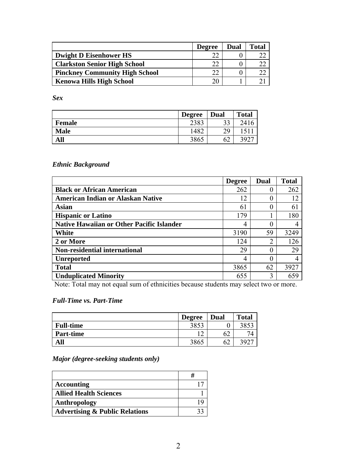|                                       | <b>Degree</b> | Dual | <b>Total</b> |
|---------------------------------------|---------------|------|--------------|
| <b>Dwight D Eisenhower HS</b>         | າາ            |      |              |
| <b>Clarkston Senior High School</b>   | າາ            |      |              |
| <b>Pinckney Community High School</b> | າາ            |      |              |
| <b>Kenowa Hills High School</b>       | 20            |      |              |

*Sex* 

|               | <b>Degree</b> | <b>Dual</b> | <b>Total</b> |
|---------------|---------------|-------------|--------------|
| <b>Female</b> | 2383          | 33          | 241          |
| <b>Male</b>   | 482           | 29          |              |
| All           | 3865          | 62          | 392          |

#### *Ethnic Background*

|                                                  | <b>Degree</b> | Dual | <b>Total</b> |
|--------------------------------------------------|---------------|------|--------------|
| <b>Black or African American</b>                 | 262           |      | 262          |
| <b>American Indian or Alaskan Native</b>         | 12            | 0    | 12           |
| <b>Asian</b>                                     | 61            | 0    | 61           |
| <b>Hispanic or Latino</b>                        | 179           |      | 180          |
| <b>Native Hawaiian or Other Pacific Islander</b> | 4             |      |              |
| White                                            | 3190          | 59   | 3249         |
| 2 or More                                        | 124           |      | 126          |
| <b>Non-residential international</b>             | 29            | 0    | 29           |
| <b>Unreported</b>                                | 4             |      |              |
| <b>Total</b>                                     | 3865          | 62   | 3927         |
| <b>Unduplicated Minority</b>                     | 655           | 3    | 659          |

Note: Total may not equal sum of ethnicities because students may select two or more.

#### *Full-Time vs. Part-Time*

|                  | <b>Degree</b> | Dual | <b>Total</b> |
|------------------|---------------|------|--------------|
| <b>Full-time</b> | 2052          |      |              |
| <b>Part-time</b> | $\sim$        |      |              |
| JI               | 3865          | ٥Ž   | 3927         |

*Major (degree-seeking students only)* 

| <b>Accounting</b>                         |  |
|-------------------------------------------|--|
| <b>Allied Health Sciences</b>             |  |
| Anthropology                              |  |
| <b>Advertising &amp; Public Relations</b> |  |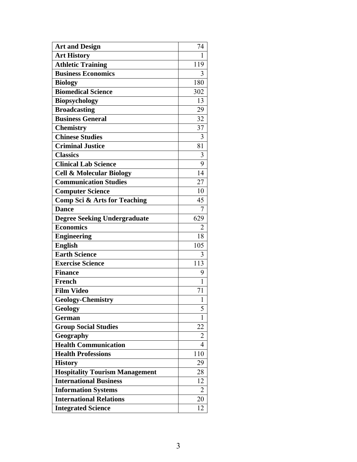| <b>Art and Design</b>                   | 74             |
|-----------------------------------------|----------------|
| <b>Art History</b>                      | 1              |
| <b>Athletic Training</b>                | 119            |
| <b>Business Economics</b>               | 3              |
| <b>Biology</b>                          | 180            |
| <b>Biomedical Science</b>               | 302            |
| Biopsychology                           | 13             |
| <b>Broadcasting</b>                     | 29             |
| <b>Business General</b>                 | 32             |
| <b>Chemistry</b>                        | 37             |
| <b>Chinese Studies</b>                  | 3              |
| <b>Criminal Justice</b>                 | 81             |
| <b>Classics</b>                         | 3              |
| <b>Clinical Lab Science</b>             | 9              |
| <b>Cell &amp; Molecular Biology</b>     | 14             |
| <b>Communication Studies</b>            | 27             |
| <b>Computer Science</b>                 | 10             |
| <b>Comp Sci &amp; Arts for Teaching</b> | 45             |
| <b>Dance</b>                            | 7              |
| <b>Degree Seeking Undergraduate</b>     | 629            |
| <b>Economics</b>                        | 2              |
| <b>Engineering</b>                      | 18             |
| <b>English</b>                          | 105            |
| <b>Earth Science</b>                    | 3              |
| <b>Exercise Science</b>                 | 113            |
| <b>Finance</b>                          | 9              |
| <b>French</b>                           | 1              |
| <b>Film Video</b>                       | 71             |
| <b>Geology-Chemistry</b>                | 1              |
| Geology                                 | 5              |
| <b>German</b>                           | 1              |
| <b>Group Social Studies</b>             | 22             |
| Geography                               | 2              |
| <b>Health Communication</b>             | 4              |
| <b>Health Professions</b>               | 110            |
| <b>History</b>                          | 29             |
| <b>Hospitality Tourism Management</b>   | 28             |
| <b>International Business</b>           | 12             |
| <b>Information Systems</b>              | $\overline{2}$ |
| <b>International Relations</b>          | 20             |
| <b>Integrated Science</b>               | 12             |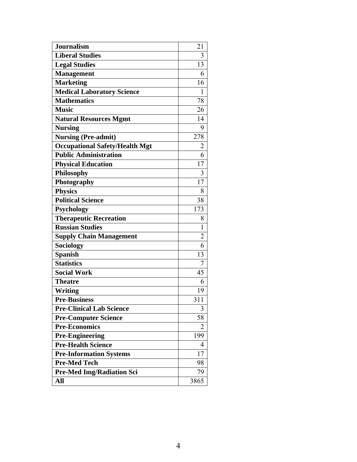| <b>Journalism</b>                     | 21             |
|---------------------------------------|----------------|
| <b>Liberal Studies</b>                | 3              |
| <b>Legal Studies</b>                  | 13             |
| <b>Management</b>                     | 6              |
| <b>Marketing</b>                      | 16             |
| <b>Medical Laboratory Science</b>     | 1              |
| <b>Mathematics</b>                    | 78             |
| <b>Music</b>                          | 26             |
| <b>Natural Resources Mgmt</b>         | 14             |
| <b>Nursing</b>                        | 9              |
| <b>Nursing (Pre-admit)</b>            | 278            |
| <b>Occupational Safety/Health Mgt</b> | $\overline{2}$ |
| <b>Public Administration</b>          | 6              |
| <b>Physical Education</b>             | 17             |
| <b>Philosophy</b>                     | 3              |
| Photography                           | 17             |
| <b>Physics</b>                        | 8              |
| <b>Political Science</b>              | 38             |
| <b>Psychology</b>                     | 173            |
| <b>Therapeutic Recreation</b>         | 8              |
| <b>Russian Studies</b>                | 1              |
| <b>Supply Chain Management</b>        | $\overline{2}$ |
| Sociology                             | 6              |
| <b>Spanish</b>                        | 13             |
| <b>Statistics</b>                     | 7              |
| Social Work                           | 45             |
| <b>Theatre</b>                        | 6              |
| Writing                               | 19             |
| <b>Pre-Business</b>                   | 311            |
| <b>Pre-Clinical Lab Science</b>       | 3              |
| <b>Pre-Computer Science</b>           | 58             |
| <b>Pre-Economics</b>                  | 2              |
| <b>Pre-Engineering</b>                | 199            |
| <b>Pre-Health Science</b>             | $\overline{4}$ |
| <b>Pre-Information Systems</b>        | 17             |
| <b>Pre-Med Tech</b>                   | 98             |
| <b>Pre-Med Img/Radiation Sci</b>      | 79             |
| All                                   | 3865           |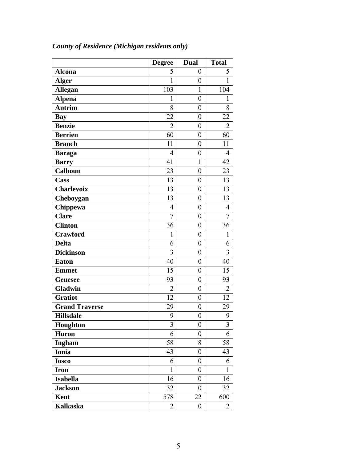|                       | <b>Degree</b>  | Dual             | <b>Total</b>   |
|-----------------------|----------------|------------------|----------------|
| <b>Alcona</b>         | 5              | $\boldsymbol{0}$ | 5              |
| <b>Alger</b>          | 1              | $\boldsymbol{0}$ | 1              |
| <b>Allegan</b>        | 103            | $\mathbf{1}$     | 104            |
| <b>Alpena</b>         | $\mathbf{1}$   | $\boldsymbol{0}$ | 1              |
| <b>Antrim</b>         | 8              | $\boldsymbol{0}$ | 8              |
| <b>Bay</b>            | 22             | $\overline{0}$   | 22             |
| <b>Benzie</b>         | $\overline{2}$ | $\boldsymbol{0}$ | $\overline{2}$ |
| <b>Berrien</b>        | 60             | $\overline{0}$   | 60             |
| <b>Branch</b>         | 11             | $\overline{0}$   | 11             |
| <b>Baraga</b>         | $\overline{4}$ | $\boldsymbol{0}$ | 4              |
| <b>Barry</b>          | 41             | 1                | 42             |
| <b>Calhoun</b>        | 23             | $\overline{0}$   | 23             |
| Cass                  | 13             | $\boldsymbol{0}$ | 13             |
| <b>Charlevoix</b>     | 13             | $\boldsymbol{0}$ | 13             |
| Cheboygan             | 13             | $\overline{0}$   | 13             |
| Chippewa              | $\overline{4}$ | $\boldsymbol{0}$ | $\overline{4}$ |
| <b>Clare</b>          | 7              | $\overline{0}$   | 7              |
| <b>Clinton</b>        | 36             | $\overline{0}$   | 36             |
| Crawford              | 1              | $\boldsymbol{0}$ | $\mathbf{1}$   |
| <b>Delta</b>          | 6              | $\overline{0}$   | 6              |
| <b>Dickinson</b>      | $\overline{3}$ | $\boldsymbol{0}$ | 3              |
| <b>Eaton</b>          | 40             | $\boldsymbol{0}$ | 40             |
| <b>Emmet</b>          | 15             | $\boldsymbol{0}$ | 15             |
| <b>Genesee</b>        | 93             | $\overline{0}$   | 93             |
| Gladwin               | $\overline{2}$ | $\boldsymbol{0}$ | $\overline{2}$ |
| <b>Gratiot</b>        | 12             | $\boldsymbol{0}$ | 12             |
| <b>Grand Traverse</b> | 29             | $\boldsymbol{0}$ | 29             |
| <b>Hillsdale</b>      | 9              | $\boldsymbol{0}$ | 9              |
| Houghton              | 3              | 0                | 3              |
| <b>Huron</b>          | 6              | $\overline{0}$   | 6              |
| <b>Ingham</b>         | 58             | 8                | 58             |
| Ionia                 | 43             | $\boldsymbol{0}$ | 43             |
| <b>Iosco</b>          | 6              | $\boldsymbol{0}$ | 6              |
| <b>Iron</b>           | $\mathbf{1}$   | $\boldsymbol{0}$ | 1              |
| <b>Isabella</b>       | 16             | $\boldsymbol{0}$ | 16             |
| <b>Jackson</b>        | 32             | $\boldsymbol{0}$ | 32             |
| Kent                  | 578            | 22               | 600            |
| <b>Kalkaska</b>       | 2              | $\boldsymbol{0}$ | 2              |

# *County of Residence (Michigan residents only)*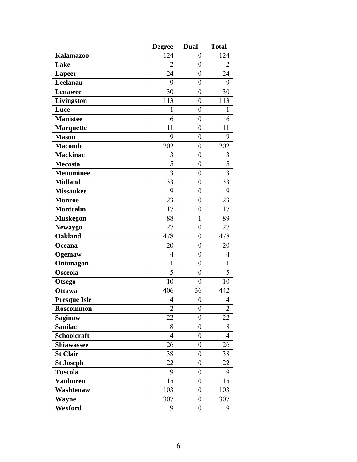|                     | <b>Degree</b>  | <b>Dual</b>      | <b>Total</b>   |
|---------------------|----------------|------------------|----------------|
| <b>Kalamazoo</b>    | 124            | $\boldsymbol{0}$ | 124            |
| Lake                | $\overline{2}$ | $\overline{0}$   | $\overline{2}$ |
| <b>Lapeer</b>       | 24             | $\overline{0}$   | 24             |
| Leelanau            | 9              | $\boldsymbol{0}$ | 9              |
| <b>Lenawee</b>      | 30             | $\boldsymbol{0}$ | 30             |
| Livingston          | 113            | $\overline{0}$   | 113            |
| Luce                | 1              | $\boldsymbol{0}$ | 1              |
| <b>Manistee</b>     | 6              | $\boldsymbol{0}$ | 6              |
| <b>Marquette</b>    | 11             | $\overline{0}$   | 11             |
| <b>Mason</b>        | 9              | $\boldsymbol{0}$ | 9              |
| <b>Macomb</b>       | 202            | $\overline{0}$   | 202            |
| <b>Mackinac</b>     | 3              | $\boldsymbol{0}$ | 3              |
| Mecosta             | 5              | $\boldsymbol{0}$ | 5              |
| <b>Menominee</b>    | $\overline{3}$ | $\boldsymbol{0}$ | $\overline{3}$ |
| <b>Midland</b>      | 33             | $\boldsymbol{0}$ | 33             |
| <b>Missaukee</b>    | 9              | $\overline{0}$   | 9              |
| <b>Monroe</b>       | 23             | $\boldsymbol{0}$ | 23             |
| <b>Montcalm</b>     | 17             | $\boldsymbol{0}$ | 17             |
| <b>Muskegon</b>     | 88             | $\mathbf{1}$     | 89             |
| <b>Newaygo</b>      | 27             | $\overline{0}$   | 27             |
| <b>Oakland</b>      | 478            | $\overline{0}$   | 478            |
| Oceana              | 20             | $\boldsymbol{0}$ | 20             |
| Ogemaw              | $\overline{4}$ | $\overline{0}$   | 4              |
| Ontonagon           | $\mathbf{1}$   | $\boldsymbol{0}$ | $\mathbf{1}$   |
| Osceola             | 5              | $\boldsymbol{0}$ | 5              |
| <b>Otsego</b>       | 10             | $\overline{0}$   | 10             |
| <b>Ottawa</b>       | 406            | 36               | 442            |
| <b>Presque Isle</b> | 4              | $\boldsymbol{0}$ | 4              |
| <b>Roscommon</b>    | $\overline{2}$ | $\boldsymbol{0}$ | $\overline{2}$ |
| <b>Saginaw</b>      | 22             | $\boldsymbol{0}$ | 22             |
| <b>Sanilac</b>      | 8              | $\boldsymbol{0}$ | 8              |
| <b>Schoolcraft</b>  | $\overline{4}$ | $\boldsymbol{0}$ | 4              |
| <b>Shiawassee</b>   | 26             | $\boldsymbol{0}$ | 26             |
| <b>St Clair</b>     | 38             | $\boldsymbol{0}$ | 38             |
| <b>St Joseph</b>    | 22             | $\boldsymbol{0}$ | 22             |
| <b>Tuscola</b>      | 9              | $\boldsymbol{0}$ | 9              |
| <b>Vanburen</b>     | 15             | $\boldsymbol{0}$ | 15             |
| Washtenaw           | 103            | $\boldsymbol{0}$ | 103            |
| <b>Wayne</b>        | 307            | $\boldsymbol{0}$ | 307            |
| Wexford             | 9              | $\boldsymbol{0}$ | 9              |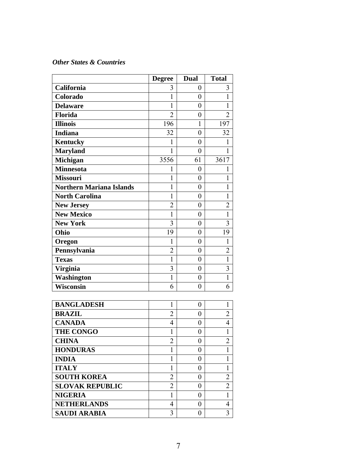#### *Other States & Countries*

|                                 | <b>Degree</b>           | <b>Dual</b>      | <b>Total</b>   |
|---------------------------------|-------------------------|------------------|----------------|
| California                      | 3                       | 0                | 3              |
| Colorado                        | 1                       | $\theta$         | 1              |
| <b>Delaware</b>                 | 1                       | $\boldsymbol{0}$ | 1              |
| <b>Florida</b>                  | $\overline{2}$          | $\boldsymbol{0}$ | 2              |
| <b>Illinois</b>                 | 196                     | 1                | 197            |
| <b>Indiana</b>                  | 32                      | $\boldsymbol{0}$ | 32             |
| <b>Kentucky</b>                 | 1                       | 0                | 1              |
| <b>Maryland</b>                 | 1                       | $\overline{0}$   | 1              |
| Michigan                        | 3556                    | 61               | 3617           |
| <b>Minnesota</b>                | 1                       | $\overline{0}$   | 1              |
| <b>Missouri</b>                 | 1                       | $\boldsymbol{0}$ | 1              |
| <b>Northern Mariana Islands</b> | 1                       | $\boldsymbol{0}$ | 1              |
| <b>North Carolina</b>           | 1                       | $\boldsymbol{0}$ | 1              |
| <b>New Jersey</b>               | $\overline{2}$          | 0                | $\overline{2}$ |
| <b>New Mexico</b>               | $\mathbf{1}$            | $\boldsymbol{0}$ | 1              |
| <b>New York</b>                 | 3                       | $\boldsymbol{0}$ | 3              |
| Ohio                            | 19                      | $\boldsymbol{0}$ | 19             |
| Oregon                          | 1                       | $\boldsymbol{0}$ | 1              |
| Pennsylvania                    | $\overline{2}$          | $\boldsymbol{0}$ | $\overline{c}$ |
| <b>Texas</b>                    | 1                       | $\overline{0}$   | $\mathbf{1}$   |
| <b>Virginia</b>                 | 3                       | $\boldsymbol{0}$ | 3              |
| Washington                      | $\mathbf{1}$            | $\overline{0}$   | $\mathbf{1}$   |
| <b>Wisconsin</b>                | 6                       | $\overline{0}$   | 6              |
|                                 |                         |                  |                |
| <b>BANGLADESH</b>               | 1                       | $\boldsymbol{0}$ | 1              |
| <b>BRAZIL</b>                   | $\overline{2}$          | $\boldsymbol{0}$ | $\overline{c}$ |
| <b>CANADA</b>                   | $\overline{4}$          | $\boldsymbol{0}$ | 4              |
| <b>THE CONGO</b>                | 1                       | $\boldsymbol{0}$ | $\mathbf{1}$   |
| <b>CHINA</b>                    | $\overline{\mathbf{c}}$ | $\boldsymbol{0}$ | $\overline{c}$ |
| <b>HONDURAS</b>                 | 1                       | $\overline{0}$   | 1              |
| <b>INDIA</b>                    | 1                       | $\boldsymbol{0}$ | 1              |
| <b>ITALY</b>                    | 1                       | $\overline{0}$   | 1              |
| <b>SOUTH KOREA</b>              | $\overline{2}$          | $\boldsymbol{0}$ | $\overline{2}$ |
| <b>SLOVAK REPUBLIC</b>          | $\overline{2}$          | $\overline{0}$   | $\overline{2}$ |
| <b>NIGERIA</b>                  | 1                       | $\boldsymbol{0}$ | $\mathbf{1}$   |
| <b>NETHERLANDS</b>              | 4                       | $\boldsymbol{0}$ | $\overline{4}$ |
| <b>SAUDI ARABIA</b>             | 3                       | 0                | 3              |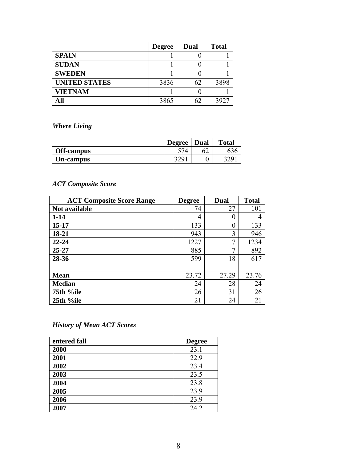|                      | <b>Degree</b> | <b>Dual</b> | <b>Total</b> |
|----------------------|---------------|-------------|--------------|
| <b>SPAIN</b>         |               |             |              |
| <b>SUDAN</b>         |               |             |              |
| <b>SWEDEN</b>        |               |             |              |
| <b>UNITED STATES</b> | 3836          | 62          | 3898         |
| <b>VIETNAM</b>       |               |             |              |
| All                  | 3865          | 62          | 3927         |

*Where Living* 

|                   | <b>Degree</b> | Dual | <b>Total</b> |
|-------------------|---------------|------|--------------|
| <b>Off-campus</b> |               |      |              |
| On-campus         |               |      |              |

## *ACT Composite Score*

| <b>ACT Composite Score Range</b> | <b>Degree</b> | <b>Dual</b> | <b>Total</b> |
|----------------------------------|---------------|-------------|--------------|
| Not available                    | 74            | 27          | 101          |
| $1 - 14$                         | 4             | 0           | 4            |
| $15 - 17$                        | 133           | 0           | 133          |
| 18-21                            | 943           | 3           | 946          |
| 22-24                            | 1227          | 7           | 1234         |
| $25 - 27$                        | 885           | ┑           | 892          |
| 28-36                            | 599           | 18          | 617          |
|                                  |               |             |              |
| <b>Mean</b>                      | 23.72         | 27.29       | 23.76        |
| <b>Median</b>                    | 24            | 28          | 24           |
| 75th %ile                        | 26            | 31          | 26           |
| 25th %ile                        | 21            | 24          | 21           |

## *History of Mean ACT Scores*

| entered fall | <b>Degree</b> |
|--------------|---------------|
| 2000         | 23.1          |
| 2001         | 22.9          |
| 2002         | 23.4          |
| 2003         | 23.5          |
| 2004         | 23.8          |
| 2005         | 23.9          |
| 2006         | 23.9          |
| 2007         | 24.2          |